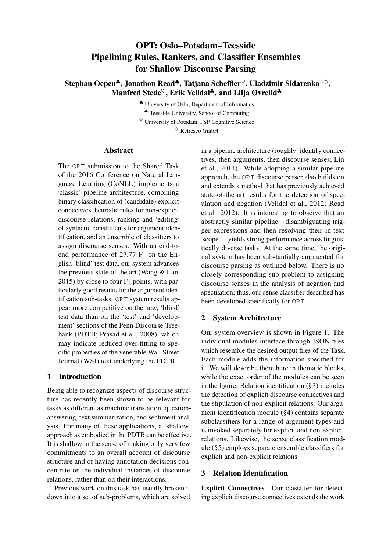# OPT: Oslo–Potsdam–Teesside Pipelining Rules, Rankers, and Classifier Ensembles for Shallow Discourse Parsing

Stephan Oepen<sup> $\clubsuit$ </sup>, Jonathon Read<sup> $\spadesuit$ </sup>, Tatjana Scheffler<sup> $\heartsuit$ </sup>, Uladzimir Sidarenka $\heartsuit\Diamond$ , Manfred Stede<sup>♡</sup>, Erik Velldal<sup>↓</sup>. and Lilja Øvrelid<sup>↓</sup>

> ♣ University of Oslo, Department of Informatics ♠ Teesside University, School of Computing

 $\heartsuit$  University of Potsdam, FSP Cognitive Science

 $\diamond$  Retresco GmbH

## Abstract

The OPT submission to the Shared Task of the 2016 Conference on Natural Language Learning (CoNLL) implements a 'classic' pipeline architecture, combining binary classification of (candidate) explicit connectives, heuristic rules for non-explicit discourse relations, ranking and 'editing' of syntactic constituents for argument identification, and an ensemble of classifiers to assign discourse senses. With an end-toend performance of  $27.77$   $F_1$  on the English 'blind' test data, our system advances the previous state of the art (Wang & Lan, 2015) by close to four  $F_1$  points, with particularly good results for the argument identification sub-tasks. OPT system results appear more competitive on the new, 'blind' test data than on the 'test' and 'development' sections of the Penn Discourse Treebank (PDTB; Prasad et al., 2008), which may indicate reduced over-fitting to specific properties of the venerable Wall Street Journal (WSJ) text underlying the PDTB.

# 1 Introduction

Being able to recognize aspects of discourse structure has recently been shown to be relevant for tasks as different as machine translation, questionanswering, text summarization, and sentiment analysis. For many of these applications, a 'shallow' approach as embodied in the PDTB can be effective. It is shallow in the sense of making only very few commitments to an overall account of discourse structure and of having annotation decisions concentrate on the individual instances of discourse relations, rather than on their interactions.

Previous work on this task has usually broken it down into a set of sub-problems, which are solved

in a pipeline architecture (roughly: identify connectives, then arguments, then discourse senses; Lin et al., 2014). While adopting a similar pipeline approach, the OPT discourse parser also builds on and extends a method that has previously achieved state-of-the-art results for the detection of speculation and negation (Velldal et al., 2012; Read et al., 2012). It is interesting to observe that an abstractly similar pipeline—disambiguating trigger expressions and then resolving their in-text 'scope'—yields strong performance across linguistically diverse tasks. At the same time, the original system has been substantially augmented for discourse parsing as outlined below. There is no closely corresponding sub-problem to assigning discourse senses in the analysis of negation and speculation; thus, our sense classifier described has been developed specifically for OPT.

# 2 System Architecture

Our system overview is shown in Figure 1. The individual modules interface through JSON files which resemble the desired output files of the Task. Each module adds the information specified for it. We will describe them here in thematic blocks, while the exact order of the modules can be seen in the figure. Relation identification (§3) includes the detection of explicit discourse connectives and the stipulation of non-explicit relations. Our argument identification module (§4) contains separate subclassifiers for a range of argument types and is invoked separately for explicit and non-explicit relations. Likewise, the sense classification module (§5) employs separate ensemble classifiers for explicit and non-explicit relations.

# 3 Relation Identification

Explicit Connectives Our classifier for detecting explicit discourse connectives extends the work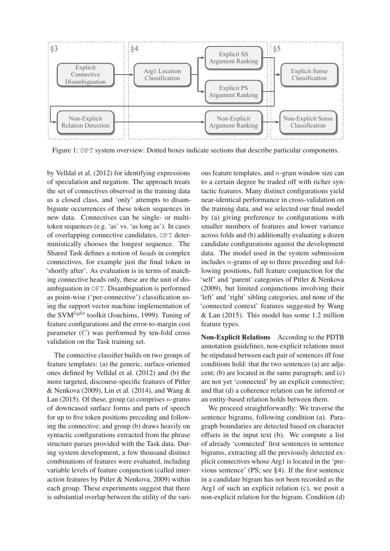

Figure 1: OPT system overview: Dotted boxes indicate sections that describe particular components.

by Velldal et al. (2012) for identifying expressions of speculation and negation. The approach treats the set of connectives observed in the training data as a closed class, and 'only' attempts to disambiguate occurrences of these token sequences in new data. Connectives can be single- or multitoken sequences (e.g. 'as' vs. 'as long as'). In cases of overlapping connective candidates, OPT deterministically chooses the longest sequence. The Shared Task defines a notion of *heads* in complex connectives, for example just the final token in 'shortly after'. As evaluation is in terms of matching connective heads only, these are the unit of disambiguation in OPT. Disambiguation is performed as point-wise ('per-connective') classification using the support vector machine implementation of the SVM*light* toolkit (Joachims, 1999). Tuning of feature configurations and the error-to-margin cost parameter  $(C)$  was performed by ten-fold cross validation on the Task training set.

The connective classifier builds on two groups of feature templates: (a) the generic, surface-oriented ones defined by Velldal et al. (2012) and (b) the more targeted, discourse-specific features of Pitler & Nenkova (2009), Lin et al. (2014), and Wang & Lan (2015). Of these, group (a) comprises  $n$ -grams of downcased surface forms and parts of speech for up to five token positions preceding and following the connective; and group (b) draws heavily on syntactic configurations extracted from the phrase structure parses provided with the Task data. During system development, a few thousand distinct combinations of features were evaluated, including variable levels of feature conjunction (called interaction features by Pitler & Nenkova, 2009) within each group. These experiments suggest that there is substantial overlap between the utility of the vari-

ous feature templates, and  $n$ -gram window size can to a certain degree be traded off with richer syntactic features. Many distinct configurations yield near-identical performance in cross-validation on the training data, and we selected our final model by (a) giving preference to configurations with smaller numbers of features and lower variance across folds and (b) additionally evaluating a dozen candidate configurations against the development data. The model used in the system submission includes n-grams of up to three preceding and following positions, full feature conjunction for the 'self' and 'parent' categories of Pitler & Nenkova (2009), but limited conjunctions involving their 'left' and 'right' sibling categories, and none of the 'connected context' features suggested by Wang & Lan (2015). This model has some 1.2 million feature types.

Non-Explicit Relations According to the PDTB annotation guidelines, non-explicit relations must be stipulated between each pair of sentences iff four conditions hold: that the two sentences (a) are adjacent; (b) are located in the same paragraph; and (c) are not yet 'connected' by an explicit connective; and that (d) a coherence relation can be inferred or an entity-based relation holds between them.

We proceed straightforwardly: We traverse the sentence bigrams, following condition (a). Paragraph boundaries are detected based on character offsets in the input text (b). We compute a list of already 'connected' first sentences in sentence bigrams, extracting all the previously detected explicit connectives whose Arg1 is located in the 'previous sentence' (PS; see §4). If the first sentence in a candidate bigram has not been recorded as the Arg1 of such an explicit relation (c), we posit a non-explicit relation for the bigram. Condition (d)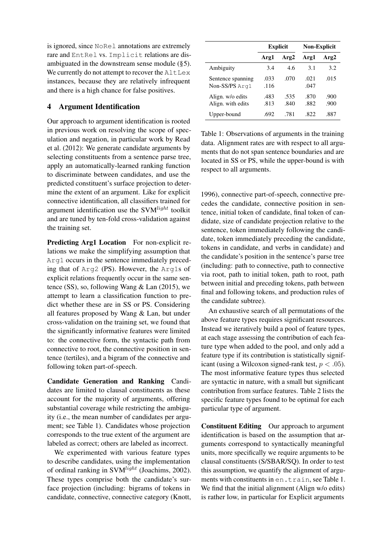is ignored, since NoRel annotations are extremely rare and EntRel vs. Implicit relations are disambiguated in the downstream sense module (§5). We currently do not attempt to recover the AltLex instances, because they are relatively infrequent and there is a high chance for false positives.

# 4 Argument Identification

Our approach to argument identification is rooted in previous work on resolving the scope of speculation and negation, in particular work by Read et al. (2012): We generate candidate arguments by selecting constituents from a sentence parse tree, apply an automatically-learned ranking function to discriminate between candidates, and use the predicted constituent's surface projection to determine the extent of an argument. Like for explicit connective identification, all classifiers trained for argument identification use the SVM $^{light}$  toolkit and are tuned by ten-fold cross-validation against the training set.

Predicting Arg1 Location For non-explicit relations we make the simplifying assumption that Arg1 occurs in the sentence immediately preceding that of Arg2 (PS). However, the Arg1s of explicit relations frequently occur in the same sentence  $(SS)$ , so, following Wang  $\&$  Lan  $(2015)$ , we attempt to learn a classification function to predict whether these are in SS or PS. Considering all features proposed by Wang & Lan, but under cross-validation on the training set, we found that the significantly informative features were limited to: the connective form, the syntactic path from connective to root, the connective position in sentence (tertiles), and a bigram of the connective and following token part-of-speech.

Candidate Generation and Ranking Candidates are limited to clausal constituents as these account for the majority of arguments, offering substantial coverage while restricting the ambiguity (i.e., the mean number of candidates per argument; see Table 1). Candidates whose projection corresponds to the true extent of the argument are labeled as correct; others are labeled as incorrect.

We experimented with various feature types to describe candidates, using the implementation of ordinal ranking in  $SVM<sup>light</sup>$  (Joachims, 2002). These types comprise both the candidate's surface projection (including: bigrams of tokens in candidate, connective, connective category (Knott,

|                                       |              | <b>Explicit</b> | <b>Non-Explicit</b> |              |  |
|---------------------------------------|--------------|-----------------|---------------------|--------------|--|
|                                       | Arg1         | Arg2            | Arg1                | Arg2         |  |
| Ambiguity                             | 3.4          | 4.6             | 3.1                 | 3.2          |  |
| Sentence spanning<br>Non-SS/PS Arg1   | .033<br>.116 | .070            | .021<br>.047        | .015         |  |
| Align. w/o edits<br>Align. with edits | .483<br>.813 | .535<br>.840    | .870<br>.882        | .900<br>.900 |  |
| Upper-bound                           | .692         | .781            | .822                | .887         |  |

Table 1: Observations of arguments in the training data. Alignment rates are with respect to all arguments that do not span sentence boundaries and are located in SS or PS, while the upper-bound is with respect to all arguments.

1996), connective part-of-speech, connective precedes the candidate, connective position in sentence, initial token of candidate, final token of candidate, size of candidate projection relative to the sentence, token immediately following the candidate, token immediately preceding the candidate, tokens in candidate, and verbs in candidate) and the candidate's position in the sentence's parse tree (including: path to connective, path to connective via root, path to initial token, path to root, path between initial and preceding tokens, path between final and following tokens, and production rules of the candidate subtree).

An exhaustive search of all permutations of the above feature types requires significant resources. Instead we iteratively build a pool of feature types, at each stage assessing the contribution of each feature type when added to the pool, and only add a feature type if its contribution is statistically significant (using a Wilcoxon signed-rank test,  $p < .05$ ). The most informative feature types thus selected are syntactic in nature, with a small but significant contribution from surface features. Table 2 lists the specific feature types found to be optimal for each particular type of argument.

Constituent Editing Our approach to argument identification is based on the assumption that arguments correspond to syntactically meaningful units, more specifically we require arguments to be clausal constituents (S/SBAR/SQ). In order to test this assumption, we quantify the alignment of arguments with constituents in en.train, see Table 1. We find that the initial alignment (Align w/o edits) is rather low, in particular for Explicit arguments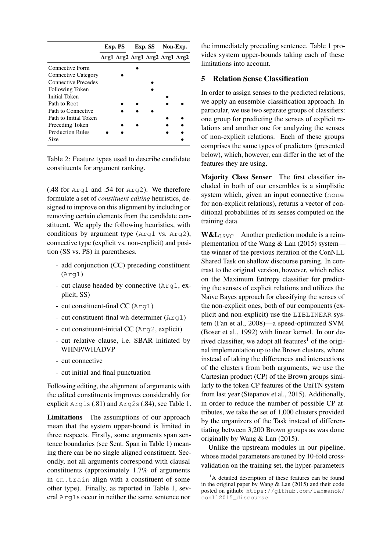|                            | Exp. PS |  | Exp. SS | Non-Exp.                      |  |  |
|----------------------------|---------|--|---------|-------------------------------|--|--|
|                            |         |  |         | Arg1 Arg2 Arg1 Arg2 Arg1 Arg2 |  |  |
| Connective Form            |         |  |         |                               |  |  |
| <b>Connective Category</b> |         |  |         |                               |  |  |
| Connective Precedes        |         |  |         |                               |  |  |
| Following Token            |         |  |         |                               |  |  |
| <b>Initial Token</b>       |         |  |         |                               |  |  |
| Path to Root               |         |  |         |                               |  |  |
| Path to Connective         |         |  |         |                               |  |  |
| Path to Initial Token      |         |  |         |                               |  |  |
| Preceding Token            |         |  |         |                               |  |  |
| <b>Production Rules</b>    |         |  |         |                               |  |  |
| Size                       |         |  |         |                               |  |  |

Table 2: Feature types used to describe candidate constituents for argument ranking.

(.48 for Arg1 and .54 for Arg2). We therefore formulate a set of *constituent editing* heuristics, designed to improve on this alignment by including or removing certain elements from the candidate constituent. We apply the following heuristics, with conditions by argument type (Arg1 vs. Arg2), connective type (explicit vs. non-explicit) and position (SS vs. PS) in parentheses.

- add conjunction (CC) preceding constituent (Arg1)
- cut clause headed by connective (Arg1, explicit, SS)
- cut constituent-final CC (Arg1)
- cut constituent-final wh-determiner (Arg1)
- cut constituent-initial CC (Arg2, explicit)
- cut relative clause, i.e. SBAR initiated by WHNP/WHADVP
- cut connective
- cut initial and final punctuation

Following editing, the alignment of arguments with the edited constituents improves considerably for explicit Arg1s (.81) and Arg2s (.84), see Table 1.

Limitations The assumptions of our approach mean that the system upper-bound is limited in three respects. Firstly, some arguments span sentence boundaries (see Sent. Span in Table 1) meaning there can be no single aligned constituent. Secondly, not all arguments correspond with clausal constituents (approximately 1.7% of arguments in en.train align with a constituent of some other type). Finally, as reported in Table 1, several Arg1s occur in neither the same sentence nor

the immediately preceding sentence. Table 1 provides system upper-bounds taking each of these limitations into account.

#### 5 Relation Sense Classification

In order to assign senses to the predicted relations, we apply an ensemble-classification approach. In particular, we use two separate groups of classifiers: one group for predicting the senses of explicit relations and another one for analyzing the senses of non-explicit relations. Each of these groups comprises the same types of predictors (presented below), which, however, can differ in the set of the features they are using.

Majority Class Senser The first classifier included in both of our ensembles is a simplistic system which, given an input connective (none for non-explicit relations), returns a vector of conditional probabilities of its senses computed on the training data.

 $W\&L<sub>LSVC</sub>$  Another prediction module is a reimplementation of the Wang & Lan (2015) system the winner of the previous iteration of the ConNLL Shared Task on shallow discourse parsing. In contrast to the original version, however, which relies on the Maximum Entropy classifier for predicting the senses of explicit relations and utilizes the Naïve Bayes approach for classifying the senses of the non-explicit ones, both of our components (explicit and non-explicit) use the LIBLINEAR system (Fan et al., 2008)—a speed-optimized SVM (Boser et al., 1992) with linear kernel. In our derived classifier, we adopt all features<sup>1</sup> of the original implementation up to the Brown clusters, where instead of taking the differences and intersections of the clusters from both arguments, we use the Cartesian product (CP) of the Brown groups similarly to the token-CP features of the UniTN system from last year (Stepanov et al., 2015). Additionally, in order to reduce the number of possible CP attributes, we take the set of 1,000 clusters provided by the organizers of the Task instead of differentiating between 3,200 Brown groups as was done originally by Wang & Lan (2015).

Unlike the upstream modules in our pipeline, whose model parameters are tuned by 10-fold crossvalidation on the training set, the hyper-parameters

 ${}^{1}$ A detailed description of these features can be found in the original paper by Wang & Lan (2015) and their code posted on github: https://github.com/lanmanok/ conll2015\_discourse.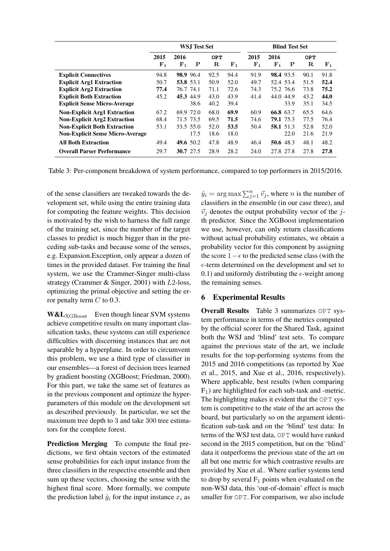|                                         | WSJ Test Set |                |                  |             | <b>Blind Test Set</b> |                |                |           |             |             |
|-----------------------------------------|--------------|----------------|------------------|-------------|-----------------------|----------------|----------------|-----------|-------------|-------------|
|                                         | 2015         | 2016           |                  |             | <b>OPT</b>            |                | 2016           |           | <b>OPT</b>  |             |
|                                         | ${\bf F_1}$  | F <sub>1</sub> | P                | $\mathbf R$ | F <sub>1</sub>        | F <sub>1</sub> | F <sub>1</sub> | P         | $\mathbf R$ | ${\bf F_1}$ |
| <b>Explicit Connectives</b>             | 94.8         |                | <b>98.9</b> 96.4 | 92.5        | 94.4                  | 91.9           |                | 98.4 93.5 | 90.1        | 91.8        |
| <b>Explicit Arg1 Extraction</b>         | 50.7         |                | 53.8 53.1        | 50.9        | 52.0                  | 49.7           |                | 52.4 53.4 | 51.5        | 52.4        |
| <b>Explicit Arg2 Extraction</b>         | 77.4         |                | 76.7 74.1        | 71.1        | 72.6                  | 74.3           |                | 75.2 76.6 | 73.8        | 75.2        |
| <b>Explicit Both Extraction</b>         | 45.2         | 45.3           | 44.9             | 43.0        | 43.9                  | 41.4           |                | 44.0 44.9 | 43.2        | 44.0        |
| <b>Explicit Sense Micro-Average</b>     |              |                | 38.6             | 40.2        | 39.4                  |                |                | 33.9      | 35.1        | 34.5        |
| <b>Non-Explicit Arg1 Extraction</b>     | 67.2         |                | 69.9 72.0        | 68.0        | 69.9                  | 60.9           | 66.8 63.7      |           | 65.5        | 64.6        |
| <b>Non-Explicit Arg2 Extraction</b>     | 68.4         |                | 71.5 73.5        | 69.5        | 71.5                  | 74.6           |                | 79.1 75.3 | 77.5        | 76.4        |
| <b>Non-Explicit Both Extraction</b>     | 53.1         |                | 53.5 55.0        | 52.0        | 53.5                  | 50.4           |                | 58.1 51.3 | 52.8        | 52.0        |
| <b>Non-Explicit Sense Micro-Average</b> |              |                | 17.5             | 18.6        | 18.0                  |                |                | 22.0      | 21.6        | 21.9        |
| <b>All Both Extraction</b>              | 49.4         |                | 49.6 50.2        | 47.8        | 48.9                  | 46.4           |                | 50.6 48.3 | 48.1        | 48.2        |
| <b>Overall Parser Performance</b>       | 29.7         |                | 30.7 27.5        | 28.9        | 28.2                  | 24.0           |                | 27.8 27.8 | 27.8        | 27.8        |

Table 3: Per-component breakdown of system performance, compared to top performers in 2015/2016.

of the sense classifiers are tweaked towards the development set, while using the entire training data for computing the feature weights. This decision is motivated by the wish to harness the full range of the training set, since the number of the target classes to predict is much bigger than in the preceding sub-tasks and because some of the senses, e.g. Expansion.Exception, only appear a dozen of times in the provided dataset. For training the final system, we use the Crammer-Singer multi-class strategy (Crammer & Singer, 2001) with L2-loss, optimizing the primal objective and setting the error penalty term  $C$  to 0.3.

W&L<sub>XGBoost</sub> Even though linear SVM systems achieve competitive results on many important classification tasks, these systems can still experience difficulties with discerning instances that are not separable by a hyperplane. In order to circumvent this problem, we use a third type of classifier in our ensembles—a forest of decision trees learned by gradient boosting (XGBoost; Friedman, 2000). For this part, we take the same set of features as in the previous component and optimize the hyperparameters of this module on the development set as described previously. In particular, we set the maximum tree depth to 3 and take 300 tree estimators for the complete forest.

Prediction Merging To compute the final predictions, we first obtain vectors of the estimated sense probabilities for each input instance from the three classifiers in the respective ensemble and then sum up these vectors, choosing the sense with the highest final score. More formally, we compute the prediction label  $\hat{y}_i$  for the input instance  $x_i$  as

 $\hat{y}_i = \arg \max \sum_{j=1}^n \vec{v}_j$ , where *n* is the number of classifiers in the ensemble (in our case three), and  $\vec{v}_i$  denotes the output probability vector of the jth predictor. Since the XGBoost implementation we use, however, can only return classifications without actual probability estimates, we obtain a probability vector for this component by assigning the score  $1 - \epsilon$  to the predicted sense class (with the -term determined on the development and set to 0.1) and uniformly distributing the  $\epsilon$ -weight among the remaining senses.

# 6 Experimental Results

Overall Results Table 3 summarizes OPT system performance in terms of the metrics computed by the official scorer for the Shared Task, against both the WSJ and 'blind' test sets. To compare against the previous state of the art, we include results for the top-performing systems from the 2015 and 2016 competitions (as reported by Xue et al., 2015, and Xue et al., 2016, respectively). Where applicable, best results (when comparing  $F_1$ ) are highlighted for each sub-task and -metric. The highlighting makes it evident that the OPT system is competitive to the state of the art across the board, but particularly so on the argument identification sub-task and on the 'blind' test data: In terms of the WSJ test data, OPT would have ranked second in the 2015 competition, but on the 'blind' data it outperforms the previous state of the art on all but one metric for which contrastive results are provided by Xue et al.. Where earlier systems tend to drop by several  $F_1$  points when evaluated on the non-WSJ data, this 'out-of-domain' effect is much smaller for OPT. For comparison, we also include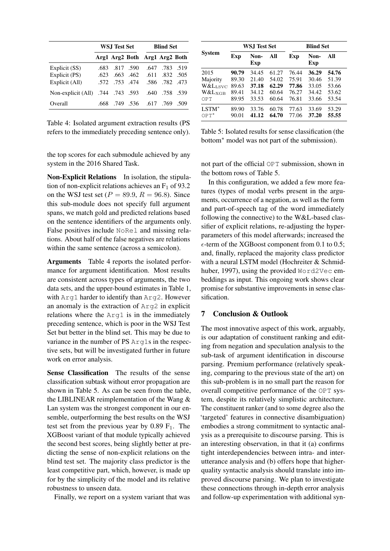|                                                  |      | WSJ Test Set                     |           | <b>Blind Set</b>              |                      |                       |  |
|--------------------------------------------------|------|----------------------------------|-----------|-------------------------------|----------------------|-----------------------|--|
|                                                  |      |                                  |           | Arg1 Arg2 Both Arg1 Arg2 Both |                      |                       |  |
| Explicit (SS)<br>Explicit (PS)<br>Explicit (All) | .623 | .683 .817 .590<br>.572 .753 .474 | .663 .462 | .647<br>.586                  | $.611$ $.832$ $.505$ | .783 .519<br>.782.473 |  |
| 743 .593. 744 .743 .593                          |      |                                  |           | .640                          |                      | .758.539              |  |
| Overall                                          | .668 |                                  |           | .749.536.017.769              |                      | .509                  |  |

Table 4: Isolated argument extraction results (PS refers to the immediately preceding sentence only).

the top scores for each submodule achieved by any system in the 2016 Shared Task.

Non-Explicit Relations In isolation, the stipulation of non-explicit relations achieves an  $F_1$  of 93.2 on the WSJ test set ( $P = 89.9$ ,  $R = 96.8$ ). Since this sub-module does not specify full argument spans, we match gold and predicted relations based on the sentence identifiers of the arguments only. False positives include NoRel and missing relations. About half of the false negatives are relations within the same sentence (across a semicolon).

Arguments Table 4 reports the isolated performance for argument identification. Most results are consistent across types of arguments, the two data sets, and the upper-bound estimates in Table 1, with Arg1 harder to identify than Arg2. However an anomaly is the extraction of Arg2 in explicit relations where the Arg1 is in the immediately preceding sentence, which is poor in the WSJ Test Set but better in the blind set. This may be due to variance in the number of PS Arg1s in the respective sets, but will be investigated further in future work on error analysis.

Sense Classification The results of the sense classification subtask without error propagation are shown in Table 5. As can be seen from the table, the LIBLINEAR reimplementation of the Wang & Lan system was the strongest component in our ensemble, outperforming the best results on the WSJ test set from the previous year by  $0.89 \text{ F}_1$ . The XGBoost variant of that module typically achieved the second best scores, being slightly better at predicting the sense of non-explicit relations on the blind test set. The majority class predictor is the least competitive part, which, however, is made up for by the simplicity of the model and its relative robustness to unseen data.

Finally, we report on a system variant that was

| System             |       | <b>WSJ Test Set</b> |       | <b>Blind Set</b> |             |       |  |
|--------------------|-------|---------------------|-------|------------------|-------------|-------|--|
|                    | Exp   | Non-<br>Exp         | All   | Exp              | Non-<br>Exp | All   |  |
| 2015               | 90.79 | 34.45               | 61.27 | 76.44            | 36.29       | 54.76 |  |
| Majority           | 89.30 | 21.40               | 54.02 | 75.91            | 30.46       | 51.39 |  |
| $W&L_{LSVC}$       | 89.63 | 37.18               | 62.29 | 77.86            | 33.05       | 53.66 |  |
| W&L <sub>XGB</sub> | 89.41 | 34.12               | 60.64 | 76.27            | 34.42       | 53.62 |  |
| OPT                | 89.95 | 33.53               | 60.64 | 76.81            | 33.66       | 53.54 |  |
| $LSTM^*$           | 89.90 | 33.76               | 60.78 | 77.63            | 33.69       | 53.29 |  |
| $OPT^*$            | 90.01 | 41.12               | 64.70 | 77.06            | 37.20       | 55.55 |  |

Table 5: Isolated results for sense classification (the bottom<sup>∗</sup> model was not part of the submission).

not part of the official OPT submission, shown in the bottom rows of Table 5.

In this configuration, we added a few more features (types of modal verbs present in the arguments, occurrence of a negation, as well as the form and part-of-speech tag of the word immediately following the connective) to the W&L-based classifier of explicit relations, re-adjusting the hyperparameters of this model afterwards; increased the  $\epsilon$ -term of the XGBoost component from 0.1 to 0.5; and, finally, replaced the majority class predictor with a neural LSTM model (Hochreiter & Schmidhuber, 1997), using the provided Word2Vec embeddings as input. This ongoing work shows clear promise for substantive improvements in sense classification.

# 7 Conclusion & Outlook

The most innovative aspect of this work, arguably, is our adaptation of constituent ranking and editing from negation and speculation analysis to the sub-task of argument identification in discourse parsing. Premium performance (relatively speaking, comparing to the previous state of the art) on this sub-problem is in no small part the reason for overall competitive performance of the OPT system, despite its relatively simplistic architecture. The constituent ranker (and to some degree also the 'targeted' features in connective disambiguation) embodies a strong commitment to syntactic analysis as a prerequisite to discourse parsing. This is an interesting observation, in that it (a) confirms tight interdependencies between intra- and interutterance analysis and (b) offers hope that higherquality syntactic analysis should translate into improved discourse parsing. We plan to investigate these connections through in-depth error analysis and follow-up experimentation with additional syn